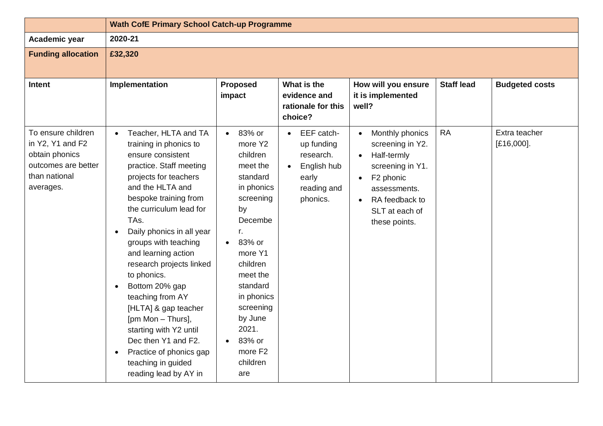|                                                                                                               | <b>Wath CofE Primary School Catch-up Programme</b>                                                                                                                                                                                                                                                                                                                                                                                                                                                                                                                     |                                                                                                                                                                                                                                                                         |                                                                                                                    |                                                                                                                                                                                                                          |                   |                             |
|---------------------------------------------------------------------------------------------------------------|------------------------------------------------------------------------------------------------------------------------------------------------------------------------------------------------------------------------------------------------------------------------------------------------------------------------------------------------------------------------------------------------------------------------------------------------------------------------------------------------------------------------------------------------------------------------|-------------------------------------------------------------------------------------------------------------------------------------------------------------------------------------------------------------------------------------------------------------------------|--------------------------------------------------------------------------------------------------------------------|--------------------------------------------------------------------------------------------------------------------------------------------------------------------------------------------------------------------------|-------------------|-----------------------------|
| Academic year                                                                                                 | 2020-21                                                                                                                                                                                                                                                                                                                                                                                                                                                                                                                                                                |                                                                                                                                                                                                                                                                         |                                                                                                                    |                                                                                                                                                                                                                          |                   |                             |
| <b>Funding allocation</b>                                                                                     | £32,320                                                                                                                                                                                                                                                                                                                                                                                                                                                                                                                                                                |                                                                                                                                                                                                                                                                         |                                                                                                                    |                                                                                                                                                                                                                          |                   |                             |
| <b>Intent</b>                                                                                                 | Implementation                                                                                                                                                                                                                                                                                                                                                                                                                                                                                                                                                         | <b>Proposed</b><br>impact                                                                                                                                                                                                                                               | What is the<br>evidence and<br>rationale for this<br>choice?                                                       | How will you ensure<br>it is implemented<br>well?                                                                                                                                                                        | <b>Staff lead</b> | <b>Budgeted costs</b>       |
| To ensure children<br>in Y2, Y1 and F2<br>obtain phonics<br>outcomes are better<br>than national<br>averages. | Teacher, HLTA and TA<br>$\bullet$<br>training in phonics to<br>ensure consistent<br>practice. Staff meeting<br>projects for teachers<br>and the HLTA and<br>bespoke training from<br>the curriculum lead for<br>TAs.<br>Daily phonics in all year<br>groups with teaching<br>and learning action<br>research projects linked<br>to phonics.<br>Bottom 20% gap<br>teaching from AY<br>[HLTA] & gap teacher<br>[pm Mon - Thurs],<br>starting with Y2 until<br>Dec then Y1 and F2.<br>Practice of phonics gap<br>$\bullet$<br>teaching in guided<br>reading lead by AY in | $• 83%$ or<br>more Y2<br>children<br>meet the<br>standard<br>in phonics<br>screening<br>by<br>Decembe<br>r.<br>83% or<br>more Y1<br>children<br>meet the<br>standard<br>in phonics<br>screening<br>by June<br>2021.<br>83% or<br>more F <sub>2</sub><br>children<br>are | EEF catch-<br>$\bullet$<br>up funding<br>research.<br>English hub<br>$\bullet$<br>early<br>reading and<br>phonics. | Monthly phonics<br>$\bullet$<br>screening in Y2.<br>Half-termly<br>$\bullet$<br>screening in Y1.<br>F <sub>2</sub> phonic<br>$\bullet$<br>assessments.<br>RA feedback to<br>$\bullet$<br>SLT at each of<br>these points. | <b>RA</b>         | Extra teacher<br>[£16,000]. |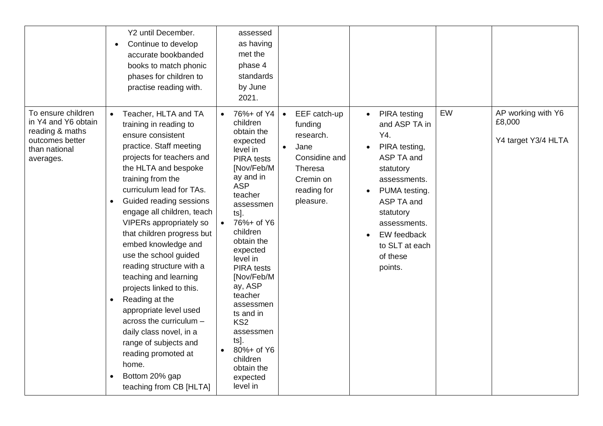|                                                                                                               | Y2 until December.<br>Continue to develop<br>$\bullet$<br>accurate bookbanded<br>books to match phonic<br>phases for children to<br>practise reading with.                                                                                                                                                                                                                                                                                                                                                                                                                                                                                                                                             | assessed<br>as having<br>met the<br>phase 4<br>standards<br>by June<br>2021.                                                                                                                                                                                                                                                                                                                                                                                                                                                                                         |                                                                                                                                                                                                                                   |                                                     |
|---------------------------------------------------------------------------------------------------------------|--------------------------------------------------------------------------------------------------------------------------------------------------------------------------------------------------------------------------------------------------------------------------------------------------------------------------------------------------------------------------------------------------------------------------------------------------------------------------------------------------------------------------------------------------------------------------------------------------------------------------------------------------------------------------------------------------------|----------------------------------------------------------------------------------------------------------------------------------------------------------------------------------------------------------------------------------------------------------------------------------------------------------------------------------------------------------------------------------------------------------------------------------------------------------------------------------------------------------------------------------------------------------------------|-----------------------------------------------------------------------------------------------------------------------------------------------------------------------------------------------------------------------------------|-----------------------------------------------------|
| To ensure children<br>in Y4 and Y6 obtain<br>reading & maths<br>outcomes better<br>than national<br>averages. | Teacher, HLTA and TA<br>$\bullet$<br>training in reading to<br>ensure consistent<br>practice. Staff meeting<br>projects for teachers and<br>the HLTA and bespoke<br>training from the<br>curriculum lead for TAs.<br>Guided reading sessions<br>$\bullet$<br>engage all children, teach<br>VIPERs appropriately so<br>that children progress but<br>embed knowledge and<br>use the school guided<br>reading structure with a<br>teaching and learning<br>projects linked to this.<br>Reading at the<br>$\bullet$<br>appropriate level used<br>across the curriculum -<br>daily class novel, in a<br>range of subjects and<br>reading promoted at<br>home.<br>Bottom 20% gap<br>teaching from CB [HLTA] | 76%+ of Y4<br>EEF catch-up<br>$\bullet$<br>children<br>funding<br>obtain the<br>research.<br>expected<br>Jane<br>$\bullet$<br>level in<br>Considine and<br><b>PIRA</b> tests<br>[Nov/Feb/M<br>Theresa<br>ay and in<br>Cremin on<br><b>ASP</b><br>reading for<br>teacher<br>pleasure.<br>assessmen<br>ts].<br>76%+ of Y6<br>children<br>obtain the<br>expected<br>level in<br><b>PIRA</b> tests<br>[Nov/Feb/M<br>ay, ASP<br>teacher<br>assessmen<br>ts and in<br>KS <sub>2</sub><br>assessmen<br>ts].<br>80%+ of Y6<br>children<br>obtain the<br>expected<br>level in | EW<br><b>PIRA</b> testing<br>and ASP TA in<br>Y4.<br>PIRA testing,<br>ASP TA and<br>statutory<br>assessments.<br>PUMA testing.<br>ASP TA and<br>statutory<br>assessments.<br>EW feedback<br>to SLT at each<br>of these<br>points. | AP working with Y6<br>£8,000<br>Y4 target Y3/4 HLTA |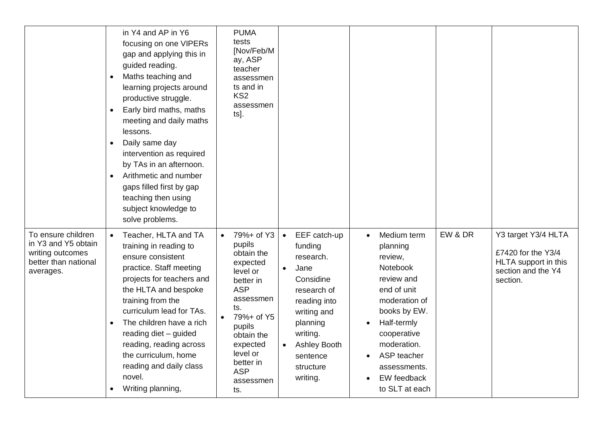|                                                                                                    | in Y4 and AP in Y6<br>focusing on one VIPERs<br>gap and applying this in<br>guided reading.<br>Maths teaching and<br>$\bullet$<br>learning projects around<br>productive struggle.<br>Early bird maths, maths<br>meeting and daily maths<br>lessons.<br>Daily same day<br>$\bullet$<br>intervention as required<br>by TAs in an afternoon.<br>Arithmetic and number<br>gaps filled first by gap<br>teaching then using<br>subject knowledge to<br>solve problems. | <b>PUMA</b><br>tests<br>[Nov/Feb/M<br>ay, ASP<br>teacher<br>assessmen<br>ts and in<br>KS <sub>2</sub><br>assessmen<br>ts].                                                                                                                                                                                                                                                                                                                      |                                                                                                                                                                                                                                                                                          |                                                                                                     |
|----------------------------------------------------------------------------------------------------|-------------------------------------------------------------------------------------------------------------------------------------------------------------------------------------------------------------------------------------------------------------------------------------------------------------------------------------------------------------------------------------------------------------------------------------------------------------------|-------------------------------------------------------------------------------------------------------------------------------------------------------------------------------------------------------------------------------------------------------------------------------------------------------------------------------------------------------------------------------------------------------------------------------------------------|------------------------------------------------------------------------------------------------------------------------------------------------------------------------------------------------------------------------------------------------------------------------------------------|-----------------------------------------------------------------------------------------------------|
| To ensure children<br>in Y3 and Y5 obtain<br>writing outcomes<br>better than national<br>averages. | Teacher, HLTA and TA<br>training in reading to<br>ensure consistent<br>practice. Staff meeting<br>projects for teachers and<br>the HLTA and bespoke<br>training from the<br>curriculum lead for TAs.<br>The children have a rich<br>$\bullet$<br>reading diet - guided<br>reading, reading across<br>the curriculum, home<br>reading and daily class<br>novel.<br>Writing planning,                                                                               | 79%+ of Y3<br>EEF catch-up<br>$\bullet$<br>pupils<br>funding<br>obtain the<br>research.<br>expected<br>Jane<br>$\bullet$<br>level or<br>Considine<br>better in<br><b>ASP</b><br>research of<br>assessmen<br>reading into<br>ts.<br>writing and<br>79%+ of Y5<br>planning<br>pupils<br>writing.<br>obtain the<br>expected<br><b>Ashley Booth</b><br>level or<br>sentence<br>better in<br>structure<br><b>ASP</b><br>writing.<br>assessmen<br>ts. | EW & DR<br>Medium term<br>$\bullet$<br>planning<br>review,<br>Notebook<br>review and<br>end of unit<br>moderation of<br>books by EW.<br>Half-termly<br>$\bullet$<br>cooperative<br>moderation.<br>ASP teacher<br>$\bullet$<br>assessments.<br>EW feedback<br>$\bullet$<br>to SLT at each | Y3 target Y3/4 HLTA<br>£7420 for the Y3/4<br>HLTA support in this<br>section and the Y4<br>section. |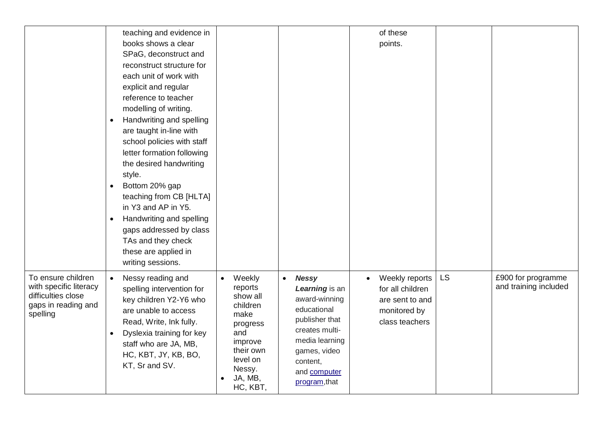|                                                                                                       | teaching and evidence in<br>books shows a clear<br>SPaG, deconstruct and<br>reconstruct structure for<br>each unit of work with<br>explicit and regular<br>reference to teacher<br>modelling of writing.<br>Handwriting and spelling<br>$\bullet$<br>are taught in-line with<br>school policies with staff<br>letter formation following<br>the desired handwriting<br>style.<br>Bottom 20% gap<br>$\bullet$<br>teaching from CB [HLTA]<br>in Y3 and AP in Y5.<br>Handwriting and spelling<br>$\bullet$<br>gaps addressed by class<br>TAs and they check<br>these are applied in<br>writing sessions. |                                                                                                                                                                                                 | of these<br>points.                                                                                                                                                                                                                                           |           |                                             |
|-------------------------------------------------------------------------------------------------------|-------------------------------------------------------------------------------------------------------------------------------------------------------------------------------------------------------------------------------------------------------------------------------------------------------------------------------------------------------------------------------------------------------------------------------------------------------------------------------------------------------------------------------------------------------------------------------------------------------|-------------------------------------------------------------------------------------------------------------------------------------------------------------------------------------------------|---------------------------------------------------------------------------------------------------------------------------------------------------------------------------------------------------------------------------------------------------------------|-----------|---------------------------------------------|
| To ensure children<br>with specific literacy<br>difficulties close<br>gaps in reading and<br>spelling | $\bullet$<br>Nessy reading and<br>spelling intervention for<br>key children Y2-Y6 who<br>are unable to access<br>Read, Write, Ink fully.<br>Dyslexia training for key<br>$\bullet$<br>staff who are JA, MB,<br>HC, KBT, JY, KB, BO,<br>KT, Sr and SV.                                                                                                                                                                                                                                                                                                                                                 | Weekly<br><b>Nessy</b><br>$\bullet$<br>$\bullet$<br>reports<br>show all<br>children<br>make<br>progress<br>and<br>improve<br>their own<br>level on<br>content,<br>Nessy.<br>JA, MB,<br>HC, KBT, | Weekly reports<br>$\bullet$<br>Learning is an<br>for all children<br>award-winning<br>are sent to and<br>educational<br>monitored by<br>publisher that<br>class teachers<br>creates multi-<br>media learning<br>games, video<br>and computer<br>program, that | <b>LS</b> | £900 for programme<br>and training included |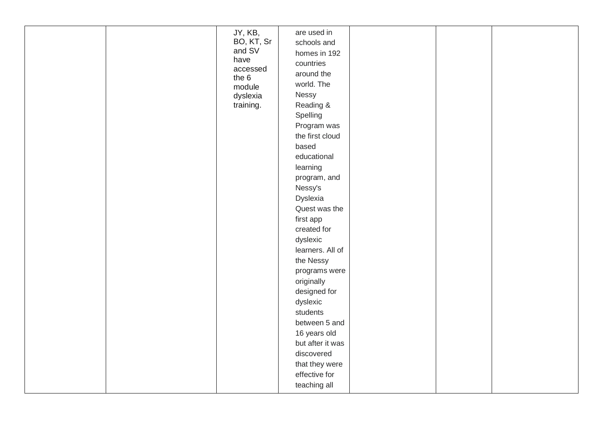|  | JY, KB,<br>BO, KT, Sr<br>and SV<br>have<br>accessed<br>the 6<br>module<br>dyslexia<br>training. | are used in<br>schools and<br>homes in 192<br>countries<br>around the<br>world. The<br>Nessy<br>Reading &<br>Spelling<br>Program was<br>the first cloud<br>based<br>educational<br>learning<br>program, and<br>Nessy's<br>Dyslexia<br>Quest was the<br>first app<br>created for<br>dyslexic<br>learners. All of<br>the Nessy<br>programs were<br>originally<br>designed for<br>dyslexic<br>students<br>between 5 and<br>16 years old<br>but after it was<br>discovered<br>that they were<br>effective for<br>teaching all |  |  |  |
|--|-------------------------------------------------------------------------------------------------|---------------------------------------------------------------------------------------------------------------------------------------------------------------------------------------------------------------------------------------------------------------------------------------------------------------------------------------------------------------------------------------------------------------------------------------------------------------------------------------------------------------------------|--|--|--|
|--|-------------------------------------------------------------------------------------------------|---------------------------------------------------------------------------------------------------------------------------------------------------------------------------------------------------------------------------------------------------------------------------------------------------------------------------------------------------------------------------------------------------------------------------------------------------------------------------------------------------------------------------|--|--|--|